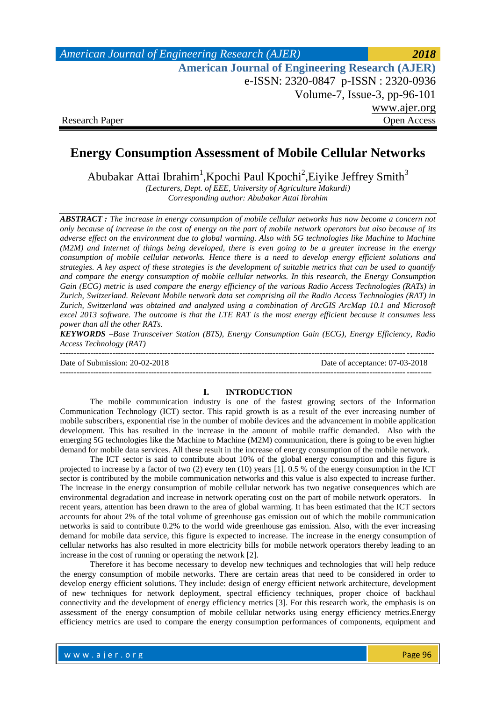| American Journal of Engineering Research (AJER)        | 2018         |
|--------------------------------------------------------|--------------|
| <b>American Journal of Engineering Research (AJER)</b> |              |
| e-ISSN: 2320-0847 p-ISSN: 2320-0936                    |              |
| Volume-7, Issue-3, pp-96-101                           |              |
|                                                        | www.ajer.org |
| <b>Research Paper</b>                                  | Open Access  |

# **Energy Consumption Assessment of Mobile Cellular Networks**

Abubakar Attai Ibrahim<sup>1</sup>, Kpochi Paul Kpochi<sup>2</sup>, Eiyike Jeffrey Smith<sup>3</sup>

*(Lecturers, Dept. of EEE, University of Agriculture Makurdi) Corresponding author: Abubakar Attai Ibrahim*

*ABSTRACT : The increase in energy consumption of mobile cellular networks has now become a concern not only because of increase in the cost of energy on the part of mobile network operators but also because of its adverse effect on the environment due to global warming. Also with 5G technologies like Machine to Machine (M2M) and Internet of things being developed, there is even going to be a greater increase in the energy consumption of mobile cellular networks. Hence there is a need to develop energy efficient solutions and strategies. A key aspect of these strategies is the development of suitable metrics that can be used to quantify and compare the energy consumption of mobile cellular networks. In this research, the Energy Consumption Gain (ECG) metric is used compare the energy efficiency of the various Radio Access Technologies (RATs) in Zurich, Switzerland. Relevant Mobile network data set comprising all the Radio Access Technologies (RAT) in Zurich, Switzerland was obtained and analyzed using a combination of ArcGIS ArcMap 10.1 and Microsoft excel 2013 software. The outcome is that the LTE RAT is the most energy efficient because it consumes less power than all the other RATs.*

*KEYWORDS –Base Transceiver Station (BTS), Energy Consumption Gain (ECG), Energy Efficiency, Radio Access Technology (RAT)*

--------------------------------------------------------------------------------------------------------------------------------------- Date of Submission: 20-02-2018 Date of acceptance: 07-03-2018 --------------------------------------------------------------------------------------------------------------------------------------

#### **I. INTRODUCTION**

The mobile communication industry is one of the fastest growing sectors of the Information Communication Technology (ICT) sector. This rapid growth is as a result of the ever increasing number of mobile subscribers, exponential rise in the number of mobile devices and the advancement in mobile application development. This has resulted in the increase in the amount of mobile traffic demanded. Also with the emerging 5G technologies like the Machine to Machine (M2M) communication, there is going to be even higher demand for mobile data services. All these result in the increase of energy consumption of the mobile network.

The ICT sector is said to contribute about 10% of the global energy consumption and this figure is projected to increase by a factor of two (2) every ten (10) years [1]. 0.5 % of the energy consumption in the ICT sector is contributed by the mobile communication networks and this value is also expected to increase further. The increase in the energy consumption of mobile cellular network has two negative consequences which are environmental degradation and increase in network operating cost on the part of mobile network operators. In recent years, attention has been drawn to the area of global warming. It has been estimated that the ICT sectors accounts for about 2% of the total volume of greenhouse gas emission out of which the mobile communication networks is said to contribute 0.2% to the world wide greenhouse gas emission. Also, with the ever increasing demand for mobile data service, this figure is expected to increase. The increase in the energy consumption of cellular networks has also resulted in more electricity bills for mobile network operators thereby leading to an increase in the cost of running or operating the network [2].

Therefore it has become necessary to develop new techniques and technologies that will help reduce the energy consumption of mobile networks. There are certain areas that need to be considered in order to develop energy efficient solutions. They include: design of energy efficient network architecture, development of new techniques for network deployment, spectral efficiency techniques, proper choice of backhaul connectivity and the development of energy efficiency metrics [3]. For this research work, the emphasis is on assessment of the energy consumption of mobile cellular networks using energy efficiency metrics.Energy efficiency metrics are used to compare the energy consumption performances of components, equipment and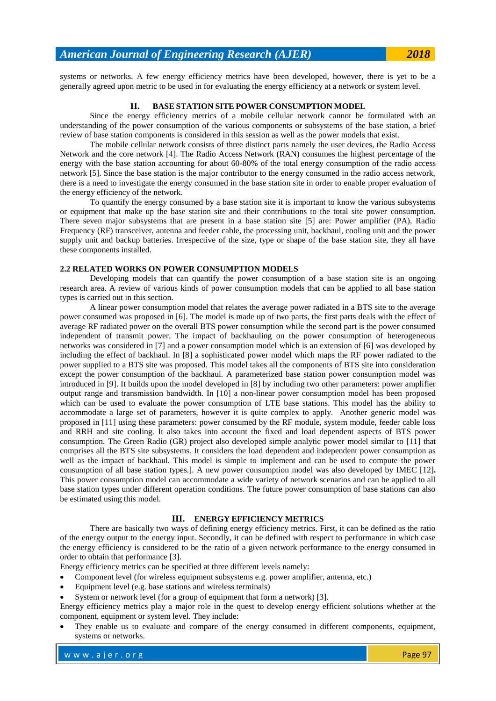systems or networks. A few energy efficiency metrics have been developed, however, there is yet to be a generally agreed upon metric to be used in for evaluating the energy efficiency at a network or system level.

## **II. BASE STATION SITE POWER CONSUMPTION MODEL**

Since the energy efficiency metrics of a mobile cellular network cannot be formulated with an understanding of the power consumption of the various components or subsystems of the base station, a brief review of base station components is considered in this session as well as the power models that exist.

The mobile cellular network consists of three distinct parts namely the user devices, the Radio Access Network and the core network [4]. The Radio Access Network (RAN) consumes the highest percentage of the energy with the base station accounting for about 60-80% of the total energy consumption of the radio access network [5]. Since the base station is the major contributor to the energy consumed in the radio access network, there is a need to investigate the energy consumed in the base station site in order to enable proper evaluation of the energy efficiency of the network.

To quantify the energy consumed by a base station site it is important to know the various subsystems or equipment that make up the base station site and their contributions to the total site power consumption. There seven major subsystems that are present in a base station site [5] are: Power amplifier (PA), Radio Frequency (RF) transceiver, antenna and feeder cable, the processing unit, backhaul, cooling unit and the power supply unit and backup batteries. Irrespective of the size, type or shape of the base station site, they all have these components installed.

## **2.2 RELATED WORKS ON POWER CONSUMPTION MODELS**

Developing models that can quantify the power consumption of a base station site is an ongoing research area. A review of various kinds of power consumption models that can be applied to all base station types is carried out in this section.

A linear power consumption model that relates the average power radiated in a BTS site to the average power consumed was proposed in [6]. The model is made up of two parts, the first parts deals with the effect of average RF radiated power on the overall BTS power consumption while the second part is the power consumed independent of transmit power. The impact of backhauling on the power consumption of heterogeneous networks was considered in [7] and a power consumption model which is an extension of [6] was developed by including the effect of backhaul. In [8] a sophisticated power model which maps the RF power radiated to the power supplied to a BTS site was proposed. This model takes all the components of BTS site into consideration except the power consumption of the backhaul. A parameterized base station power consumption model was introduced in [9]. It builds upon the model developed in [8] by including two other parameters: power amplifier output range and transmission bandwidth. In [10] a non-linear power consumption model has been proposed which can be used to evaluate the power consumption of LTE base stations. This model has the ability to accommodate a large set of parameters, however it is quite complex to apply. Another generic model was proposed in [11] using these parameters: power consumed by the RF module, system module, feeder cable loss and RRH and site cooling. It also takes into account the fixed and load dependent aspects of BTS power consumption. The Green Radio (GR) project also developed simple analytic power model similar to [11] that comprises all the BTS site subsystems. It considers the load dependent and independent power consumption as well as the impact of backhaul. This model is simple to implement and can be used to compute the power consumption of all base station types.]. A new power consumption model was also developed by IMEC [12]**.**  This power consumption model can accommodate a wide variety of network scenarios and can be applied to all base station types under different operation conditions. The future power consumption of base stations can also be estimated using this model.

## **III. ENERGY EFFICIENCY METRICS**

There are basically two ways of defining energy efficiency metrics. First, it can be defined as the ratio of the energy output to the energy input. Secondly, it can be defined with respect to performance in which case the energy efficiency is considered to be the ratio of a given network performance to the energy consumed in order to obtain that performance [3].

Energy efficiency metrics can be specified at three different levels namely:

- Component level (for wireless equipment subsystems e.g. power amplifier, antenna, etc.)
- Equipment level (e.g. base stations and wireless terminals)
- System or network level (for a group of equipment that form a network) [3].

Energy efficiency metrics play a major role in the quest to develop energy efficient solutions whether at the component, equipment or system level. They include:

 They enable us to evaluate and compare of the energy consumed in different components, equipment, systems or networks.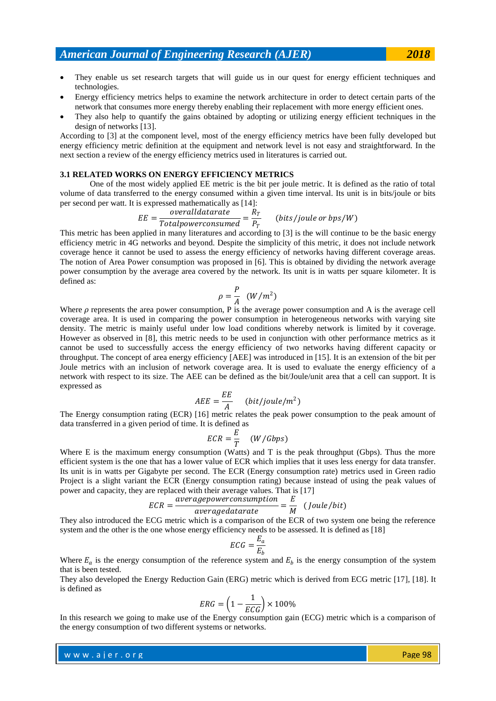- Energy efficiency metrics helps to examine the network architecture in order to detect certain parts of the network that consumes more energy thereby enabling their replacement with more energy efficient ones.
- They also help to quantify the gains obtained by adopting or utilizing energy efficient techniques in the design of networks [13].

According to [3] at the component level, most of the energy efficiency metrics have been fully developed but energy efficiency metric definition at the equipment and network level is not easy and straightforward. In the next section a review of the energy efficiency metrics used in literatures is carried out.

#### **3.1 RELATED WORKS ON ENERGY EFFICIENCY METRICS**

One of the most widely applied EE metric is the bit per joule metric. It is defined as the ratio of total volume of data transferred to the energy consumed within a given time interval. Its unit is in bits/joule or bits per second per watt. It is expressed mathematically as [14]:

$$
EE = \frac{overall data rate}{Total power consumed} = \frac{R_T}{P_T}
$$
 (bits/joule or bps/W)

This metric has been applied in many literatures and according to [3] is the will continue to be the basic energy efficiency metric in 4G networks and beyond. Despite the simplicity of this metric, it does not include network coverage hence it cannot be used to assess the energy efficiency of networks having different coverage areas. The notion of Area Power consumption was proposed in [6]. This is obtained by dividing the network average power consumption by the average area covered by the network. Its unit is in watts per square kilometer. It is defined as:

$$
\rho = \frac{P}{A} \quad (W/m^2)
$$

Where  $\rho$  represents the area power consumption, P is the average power consumption and A is the average cell coverage area. It is used in comparing the power consumption in heterogeneous networks with varying site density. The metric is mainly useful under low load conditions whereby network is limited by it coverage. However as observed in [8], this metric needs to be used in conjunction with other performance metrics as it cannot be used to successfully access the energy efficiency of two networks having different capacity or throughput. The concept of area energy efficiency [AEE] was introduced in [15]. It is an extension of the bit per Joule metrics with an inclusion of network coverage area. It is used to evaluate the energy efficiency of a network with respect to its size. The AEE can be defined as the bit/Joule/unit area that a cell can support. It is expressed as

$$
AEE = \frac{EE}{A} \quad (bit/joule/m^2)
$$

The Energy consumption rating (ECR) [16] metric relates the peak power consumption to the peak amount of data transferred in a given period of time. It is defined as

$$
ECR = \frac{E}{T} \quad (W/Gbps)
$$

Where E is the maximum energy consumption (Watts) and T is the peak throughput (Gbps). Thus the more efficient system is the one that has a lower value of ECR which implies that it uses less energy for data transfer. Its unit is in watts per Gigabyte per second. The ECR (Energy consumption rate) metrics used in Green radio Project is a slight variant the ECR (Energy consumption rating) because instead of using the peak values of power and capacity, they are replaced with their average values. That is [17]

$$
ECR = \frac{average power consumption}{average data rate} = \frac{E}{M} \quad (Joule/bit)
$$

They also introduced the ECG metric which is a comparison of the ECR of two system one being the reference system and the other is the one whose energy efficiency needs to be assessed. It is defined as [18]

$$
ECG = \frac{E_a}{E_b}
$$

Where  $E_a$  is the energy consumption of the reference system and  $E_b$  is the energy consumption of the system that is been tested.

They also developed the Energy Reduction Gain (ERG) metric which is derived from ECG metric [17], [18]. It is defined as

$$
ERG = \left(1 - \frac{1}{ECG}\right) \times 100\%
$$

In this research we going to make use of the Energy consumption gain (ECG) metric which is a comparison of the energy consumption of two different systems or networks.

where  $\mathcal{E}^{(0)}$  is the result of  $\mathcal{E}^{(0)}$ w w w . a jer. or g Page 98 and the second second service in the second second service in the Page 98 and the s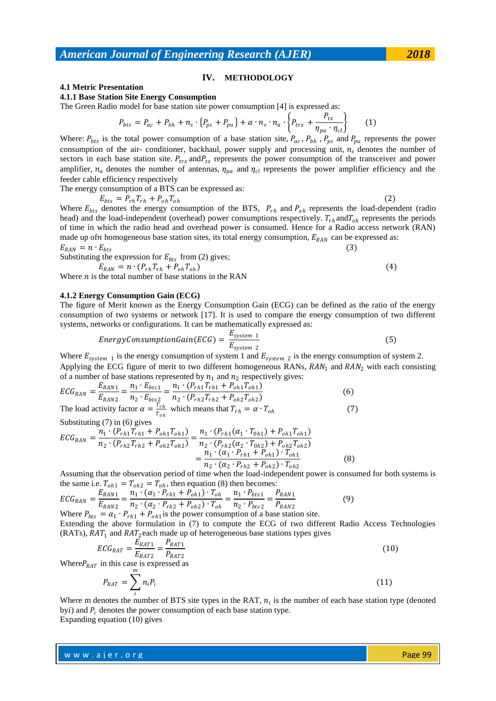### **IV. METHODOLOGY**

## **4.1 Metric Presentation**

**4.1.1 Base Station Site Energy Consumption**

The Green Radio model for base station site power consumption [4] is expressed as:

$$
P_{bts} = P_{ac} + P_{bh} + n_s \cdot \{P_{ps} + P_{pu}\} + \alpha \cdot n_s \cdot n_a \cdot \{P_{trx} + \frac{P_{tx}}{\eta_{pa} \cdot \eta_{cl}}\} \tag{1}
$$

Where:  $P_{bts}$  is the total power consumption of a base station site,  $P_{ac}$ ,  $P_{bh}$ ,  $P_{ps}$  and  $P_{pu}$  represents the power consumption of the air- conditioner, backhaul, power supply and processing unit,  $n<sub>s</sub>$  denotes the number of sectors in each base station site.  $P_{trx}$  and  $P_{tx}$  represents the power consumption of the transceiver and power amplifier,  $n_a$  denotes the number of antennas,  $\eta_{pa}$  and  $\eta_{cl}$  represents the power amplifier efficiency and the feeder cable efficiency respectively

The energy consumption of a BTS can be expressed as:

$$
E_{bts} = P_{rh} T_{rh} + P_{oh} T_{oh} \tag{2}
$$

Where  $E_{bts}$  denotes the energy consumption of the BTS,  $P_{rh}$  and  $P_{oh}$  represents the load-dependent (radio head) and the load-independent (overhead) power consumptions respectively.  $T_{rh}$  and  $T_{oh}$  represents the periods of time in which the radio head and overhead power is consumed. Hence for a Radio access network (RAN) made up of *n* homogeneous base station sites, its total energy consumption,  $E_{RAN}$  can be expressed as:  $E_{RAN} = n \cdot E_{bts}$ 

Substituting the expression for  $E_{bts}$  from (2) gives;

$$
E_{RAN} = n \cdot (P_{rh} T_{rh} + P_{oh} T_{oh})
$$
\n
$$
E_{RAN} = n \cdot (P_{rh} T_{rh} + P_{oh} T_{oh})
$$
\n
$$
E_{RAN} = n \cdot (P_{rh} T_{rh} + P_{oh} T_{oh})
$$
\n
$$
(4)
$$

Where  $n$  is the total number of base stations in the RAN

### **4.1.2 Energy Consumption Gain (ECG)**

The figure of Merit known as the Energy Consumption Gain (ECG) can be defined as the ratio of the energy consumption of two systems or network [17]. It is used to compare the energy consumption of two different systems, networks or configurations. It can be mathematically expressed as:

EnergyconsumptionGain(ECG) = 
$$
\frac{E_{system 1}}{E_{system 2}}
$$
 (5)

Where  $E_{system 1}$  is the energy consumption of system 1 and  $E_{system 2}$  is the energy consumption of system 2. Applying the ECG figure of merit to two different homogeneous RANs,  $RAN_1$  and  $RAN_2$  with each consisting of a number of base stations represented by  $n_1$  and  $n_2$  respectively gives:

$$
ECG_{RAN} = \frac{E_{RAN1}}{E_{RAN2}} = \frac{n_1 \cdot E_{bts1}}{n_2 \cdot E_{bts2}} = \frac{n_1 \cdot (P_{rh1}T_{rh1} + P_{oh1}T_{oh1})}{n_2 \cdot (P_{rh2}T_{rh2} + P_{oh2}T_{oh2})}
$$
(6)  
The load activity factor  $\alpha = \frac{T_{rh}}{T_{oh}}$  which means that  $T_{rh} = \alpha \cdot T_{oh}$ 

Substituting (7) in (6) gives

$$
ECG_{RAN} = \frac{n_1 \cdot (P_{rh1}T_{rh1} + P_{oh1}T_{oh1})}{n_2 \cdot (P_{rh2}T_{rh2} + P_{oh2}T_{oh2})} = \frac{n_1 \cdot (P_{rh1}(\alpha_1 \cdot T_{0h1}) + P_{oh1}T_{oh1})}{n_2 \cdot (P_{rh2}(\alpha_2 \cdot T_{0h2}) + P_{oh2}T_{oh2})} = \frac{n_1 \cdot (\alpha_1 \cdot P_{rh1} + P_{oh1}) \cdot T_{oh1}}{n_2 \cdot (\alpha_2 \cdot P_{rh2} + P_{oh2}) \cdot T_{oh2}}
$$
(8)

Assuming that the observation period of time when the load-independent power is consumed for both systems is the same i.e.  $T_{oh1} = T_{oh2} = T_{oh}$ , then equation (8) then becomes:

$$
ECG_{RAN} = \frac{E_{RAN1}}{E_{RAN2}} = \frac{n_1 \cdot (\alpha_1 \cdot P_{rh1} + P_{oh1}) \cdot T_{oh}}{n_2 \cdot (\alpha_2 \cdot P_{rh2} + P_{oh2}) \cdot T_{oh}} = \frac{n_1 \cdot P_{bts1}}{n_2 \cdot P_{bts2}} = \frac{P_{RAN1}}{P_{RAN2}}
$$
(9)  
Where  $P_{bts} = \alpha_1 \cdot P_{rh1} + P_{oh1}$  is the power consumption of a base station site.

Extending the above formulation in (7) to compute the ECG of two different Radio Access Technologies (RATs),  $RAT_1$  and  $RAT_2$  each made up of heterogeneous base stations types gives

$$
ECG_{RAT} = \frac{\overline{E}_{RAT1}}{E_{RAT2}} = \frac{P_{RAT1}}{P_{RAT2}}
$$
(10)

Where  $P_{RAT}$  in this case is expressed as

$$
P_{RAT} = \sum_{i}^{m} n_i P_i \tag{11}
$$

Where m denotes the number of BTS site types in the RAT,  $n_i$  is the number of each base station type (denoted byi) and  $P_i$  denotes the power consumption of each base station type. Expanding equation (10) gives

where  $\mathcal{E}^{(0)}$  is the result of  $\mathcal{E}^{(0)}$ w w w . a jer. or g Page 99 version of the state of the state of the state  $\sim$  Page 99 version of the state  $\sim$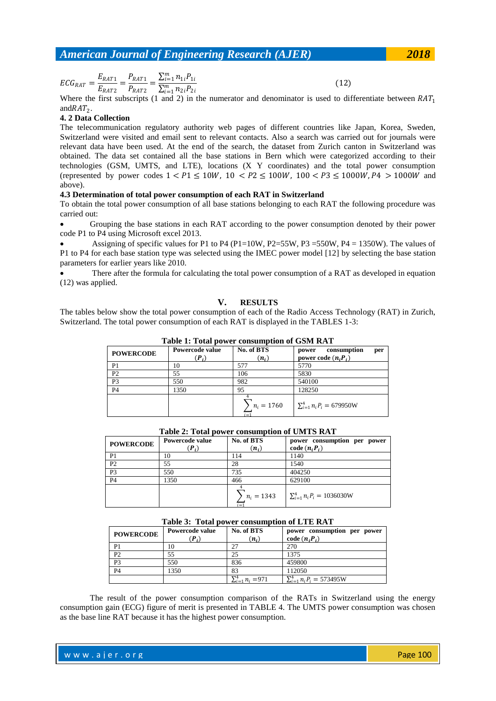$EG_{RAT} = \frac{E_{RAT1}}{F_{RAT1}}$  $\frac{E_{RAT1}}{E_{RAT2}} = \frac{P_{RAT1}}{P_{RAT2}}$  $\frac{P_{RAT1}}{P_{RAT2}} = \frac{\sum_{i=1}^{m} n_{1i} P_{1i}}{\sum_{i=1}^{m} n_{2i} P_{2i}}$  $\sum_{i=1}^{m} n_{2i} P_{2i}$ 

(12)

Where the first subscripts (1 and 2) in the numerator and denominator is used to differentiate between  $RAT_1$ and  $RAT_2$ .

## **4. 2 Data Collection**

The telecommunication regulatory authority web pages of different countries like Japan, Korea, Sweden, Switzerland were visited and email sent to relevant contacts. Also a search was carried out for journals were relevant data have been used. At the end of the search, the dataset from Zurich canton in Switzerland was obtained. The data set contained all the base stations in Bern which were categorized according to their technologies (GSM, UMTS, and LTE), locations (X Y coordinates) and the total power consumption (represented by power codes  $1 < P1 \le 10W$ ,  $10 < P2 \le 100W$ ,  $100 < P3 \le 1000W$ ,  $P4 > 1000W$  and above).

## **4.3 Determination of total power consumption of each RAT in Switzerland**

To obtain the total power consumption of all base stations belonging to each RAT the following procedure was carried out:

 Grouping the base stations in each RAT according to the power consumption denoted by their power code P1 to P4 using Microsoft excel 2013.

Assigning of specific values for P1 to P4 (P1=10W, P2=55W, P3=550W, P4 = 1350W). The values of P1 to P4 for each base station type was selected using the IMEC power model [12] by selecting the base station parameters for earlier years like 2010.

 There after the formula for calculating the total power consumption of a RAT as developed in equation (12) was applied.

#### **V. RESULTS**

The tables below show the total power consumption of each of the Radio Access Technology (RAT) in Zurich, Switzerland. The total power consumption of each RAT is displayed in the TABLES 1-3:

| <b>POWERCODE</b> | Powercode value<br>$(P_i)$ | No. of BTS<br>$(n_i)$ | consumption<br>per<br>power<br>power code $(n_i P_i)$ |
|------------------|----------------------------|-----------------------|-------------------------------------------------------|
| P <sub>1</sub>   | 10                         | 577                   | 5770                                                  |
| P <sub>2</sub>   | 55                         | 106                   | 5830                                                  |
| P <sub>3</sub>   | 550                        | 982                   | 540100                                                |
| P <sub>4</sub>   | 1350                       | 95                    | 128250                                                |
|                  |                            | $n_i = 1760$<br>i = 1 | $\sum_{i=1}^{4} n_i P_i = 679950W$                    |

**Table 1: Total power consumption of GSM RAT**

| <b>POWERCODE</b> | Powercode value<br>$(P_i)$ | No. of BTS<br>$(n_i)$ | power consumption per power<br>code $(n_iP_i)$ |
|------------------|----------------------------|-----------------------|------------------------------------------------|
| P <sub>1</sub>   | 10                         | 114                   | 1140                                           |
| P <sub>2</sub>   | 55                         | 28                    | 1540                                           |
| P <sub>3</sub>   | 550                        | 735                   | 404250                                         |
| <b>P4</b>        | 1350                       | 466                   | 629100                                         |
|                  |                            | $n_i = 1343$<br>i = 1 | $\sum_{i=1}^{4} n_i P_i = 1036030W$            |

**Table 2: Total power consumption of UMTS RAT**

| Table 3: Total power consumption of LTE RAT |  |  |  |  |  |  |  |  |
|---------------------------------------------|--|--|--|--|--|--|--|--|
|---------------------------------------------|--|--|--|--|--|--|--|--|

| <b>POWERCODE</b> | Powercode value<br>$(P_i)$ | No. of BTS<br>$(n_i)$      | power consumption per power<br>code $(n_iP_i)$ |
|------------------|----------------------------|----------------------------|------------------------------------------------|
| P <sub>1</sub>   | 10                         | 27                         | 270                                            |
| P <sub>2</sub>   | 55                         | 25                         | 1375                                           |
| P <sub>3</sub>   | 550                        | 836                        | 459800                                         |
| <b>P4</b>        | 1350                       | 83                         | 112050                                         |
|                  |                            | $\sum_{i=1}^{4} n_i = 971$ | $\sum_{i=1}^{4} n_i P_i = 573495W$             |

The result of the power consumption comparison of the RATs in Switzerland using the energy consumption gain (ECG) figure of merit is presented in TABLE 4. The UMTS power consumption was chosen as the base line RAT because it has the highest power consumption.